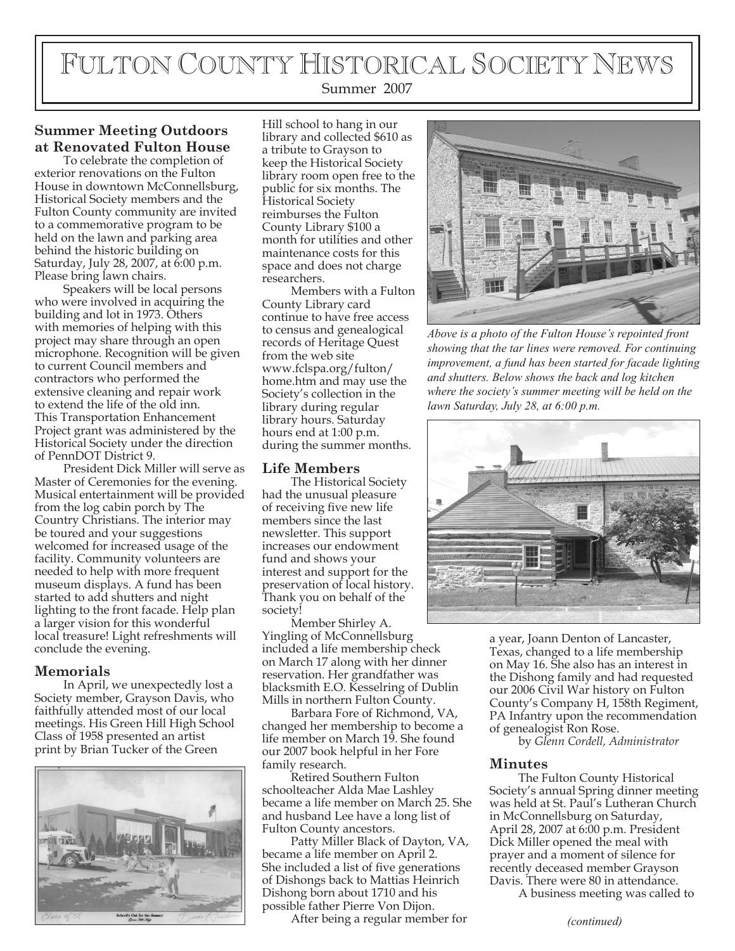# FULTON COUNTY HISTORICAL SOCIETY NEWS

#### Summer 2007

### **Summer Meeting Outdoors at Renovated Fulton House**

To celebrate the completion of exterior renovations on the Fulton House in downtown McConnellsburg, Historical Society members and the Fulton County community are invited to a commemorative program to be held on the lawn and parking area behind the historic building on Saturday, July 28, 2007, at 6:00 p.m. Please bring lawn chairs.

Speakers will be local persons who were involved in acquiring the building and lot in 1973. Others with memories of helping with this project may share through an open microphone. Recognition will be given to current Council members and contractors who performed the extensive cleaning and repair work to extend the life of the old inn. This Transportation Enhancement Project grant was administered by the Historical Society under the direction of PennDOT District 9.

President Dick Miller will serve as Master of Ceremonies for the evening. Musical entertainment will be provided from the log cabin porch by The Country Christians. The interior may be toured and your suggestions welcomed for increased usage of the facility. Community volunteers are needed to help with more frequent museum displays. A fund has been started to add shutters and night lighting to the front facade. Help plan a larger vision for this wonderful local treasure! Light refreshments will conclude the evening.

#### **Memorials**

In April, we unexpectedly lost a Society member, Grayson Davis, who faithfully attended most of our local meetings. His Green Hill High School Class of 1958 presented an artist print by Brian Tucker of the Green



Hill school to hang in our library and collected \$610 as a tribute to Grayson to keep the Historical Society library room open free to the public for six months. The Historical Society reimburses the Fulton County Library \$100 a month for utilities and other maintenance costs for this space and does not charge researchers.

Members with a Fulton County Library card continue to have free access to census and genealogical records of Heritage Quest from the web site www.fclspa.org/fulton/ home.htm and may use the Society's collection in the library during regular library hours. Saturday hours end at 1:00 p.m. during the summer months.

#### **Life Members**

The Historical Society had the unusual pleasure of receiving five new life members since the last newsletter. This support increases our endowment fund and shows your interest and support for the preservation of local history. Thank you on behalf of the society!

Member Shirley A. Yingling of McConnellsburg included a life membership check on March 17 along with her dinner reservation. Her grandfather was blacksmith E.O. Kesselring of Dublin Mills in northern Fulton County.

Barbara Fore of Richmond, VA, changed her membership to become a life member on March 19. She found our 2007 book helpful in her Fore family research.

Retired Southern Fulton schoolteacher Alda Mae Lashley became a life member on March 25. She and husband Lee have a long list of Fulton County ancestors.

Patty Miller Black of Dayton, VA, became a life member on April 2. She included a list of five generations of Dishongs back to Mattias Heinrich Dishong born about 1710 and his possible father Pierre Von Dijon.

After being a regular member for



*Above is a photo of the Fulton House's repointed front showing that the tar lines were removed. For continuing improvement, a fund has been started for facade lighting and shutters. Below shows the back and log kitchen where the society's summer meeting will be held on the lawn Saturday, July 28, at 6:00 p.m.*



a year, Joann Denton of Lancaster, Texas, changed to a life membership on May 16. She also has an interest in the Dishong family and had requested our 2006 Civil War history on Fulton County's Company H, 158th Regiment, PA Infantry upon the recommendation of genealogist Ron Rose.

by *Glenn Cordell, Administrator*

#### **Minutes**

The Fulton County Historical Society's annual Spring dinner meeting was held at St. Paul's Lutheran Church in McConnellsburg on Saturday, April 28, 2007 at 6:00 p.m. President Dick Miller opened the meal with prayer and a moment of silence for recently deceased member Grayson Davis. There were 80 in attendance.

A business meeting was called to